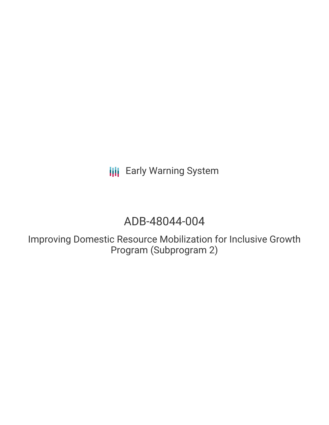**III** Early Warning System

# ADB-48044-004

Improving Domestic Resource Mobilization for Inclusive Growth Program (Subprogram 2)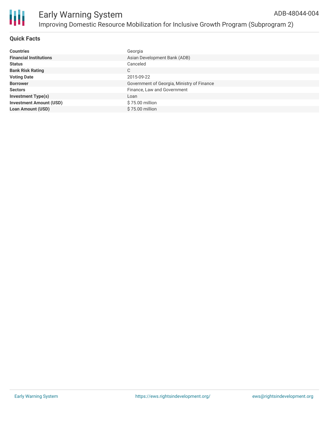

#### **Quick Facts**

| <b>Countries</b>               | Georgia                                    |
|--------------------------------|--------------------------------------------|
| <b>Financial Institutions</b>  | Asian Development Bank (ADB)               |
| <b>Status</b>                  | Canceled                                   |
| <b>Bank Risk Rating</b>        | C                                          |
| <b>Voting Date</b>             | 2015-09-22                                 |
| <b>Borrower</b>                | Government of Georgia, Ministry of Finance |
| <b>Sectors</b>                 | Finance, Law and Government                |
| <b>Investment Type(s)</b>      | Loan                                       |
| <b>Investment Amount (USD)</b> | \$75.00 million                            |
| <b>Loan Amount (USD)</b>       | $$75.00$ million                           |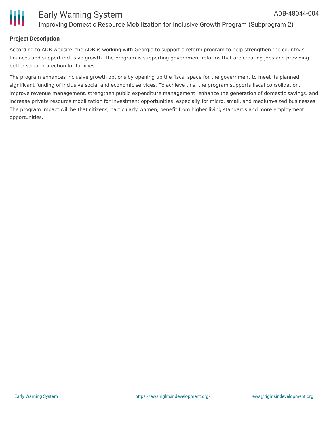



#### **Project Description**

According to ADB website, the ADB is working with Georgia to support a reform program to help strengthen the country's finances and support inclusive growth. The program is supporting government reforms that are creating jobs and providing better social protection for families.

The program enhances inclusive growth options by opening up the fiscal space for the government to meet its planned significant funding of inclusive social and economic services. To achieve this, the program supports fiscal consolidation, improve revenue management, strengthen public expenditure management, enhance the generation of domestic savings, and increase private resource mobilization for investment opportunities, especially for micro, small, and medium-sized businesses. The program impact will be that citizens, particularly women, benefit from higher living standards and more employment opportunities.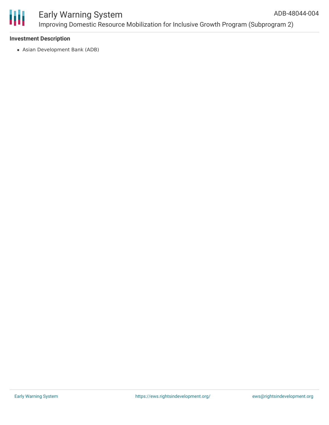

#### Early Warning System Improving Domestic Resource Mobilization for Inclusive Growth Program (Subprogram 2) ADB-48044-004

#### **Investment Description**

Asian Development Bank (ADB)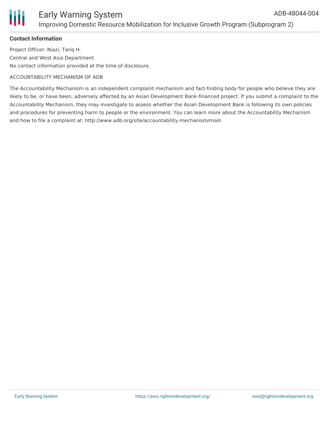### **Contact Information**

Project Officer: Niazi, Tariq H. Central and West Asia Department No contact information provided at the time of disclosure.

#### ACCOUNTABILITY MECHANISM OF ADB

The Accountability Mechanism is an independent complaint mechanism and fact-finding body for people who believe they are likely to be, or have been, adversely affected by an Asian Development Bank-financed project. If you submit a complaint to the Accountability Mechanism, they may investigate to assess whether the Asian Development Bank is following its own policies and procedures for preventing harm to people or the environment. You can learn more about the Accountability Mechanism and how to file a complaint at: http://www.adb.org/site/accountability-mechanism/main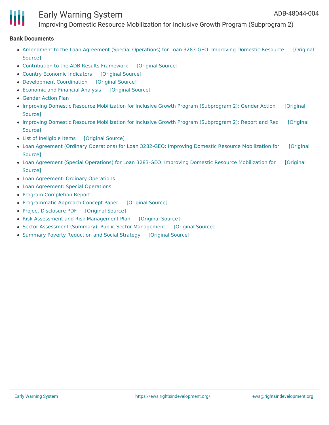# Early Warning System

Improving Domestic Resource Mobilization for Inclusive Growth Program (Subprogram 2)

#### **Bank Documents**

- [Amendment](https://ewsdata.rightsindevelopment.org/files/documents/04/ADB-48044-004_uQqen7l.pdf) to the Loan Agreement (Special Operations) for Loan 3283-GEO: Improving Domestic Resource [Original Source]
- [Contribution](https://ewsdata.rightsindevelopment.org/files/documents/04/ADB-48044-004_3yhW6Zm.pdf) to the ADB Results Framework [\[Original](https://www.adb.org/projects/documents/improving-domestic-resource-mobilization-inclusive-growth-program-sp2-rrp) Source]
- Country Economic [Indicators](https://ewsdata.rightsindevelopment.org/files/documents/04/ADB-48044-004_DEuET7W.pdf) [\[Original](https://www.adb.org/projects/documents/improving-domestic-resource-mobilization-inclusive-growth-program-sp2-rrp) Source]
- [Development](https://ewsdata.rightsindevelopment.org/files/documents/04/ADB-48044-004_iyVASJ1.pdf) Coordination [\[Original](https://www.adb.org/projects/documents/improving-domestic-resource-mobilization-inclusive-growth-program-sp2-rrp) Source]
- [Economic](https://ewsdata.rightsindevelopment.org/files/documents/04/ADB-48044-004_k3CZArG.pdf) and Financial Analysis [\[Original](https://www.adb.org/projects/documents/improving-domestic-resource-mobilization-inclusive-growth-program-sp2-rrp) Source]
- [Gender](https://www.adb.org/projects/documents/improving-domestic-resource-mobilization-inclusive-growth-program-sp2-rrp) Action Plan
- Improving Domestic Resource Mobilization for Inclusive Growth Program [\(Subprogram](https://www.adb.org/projects/documents/improving-domestic-resource-mobilization-inclusive-growth-program-sp2-gap) 2): Gender Action [Original Source]
- Improving Domestic Resource Mobilization for Inclusive Growth Program [\(Subprogram](https://www.adb.org/projects/documents/improving-domestic-resource-mobilization-inclusive-growth-program-sp2-rrp) 2): Report and Rec [Original Source]
- List of [Ineligible](https://ewsdata.rightsindevelopment.org/files/documents/04/ADB-48044-004_ybBrane.pdf) Items [\[Original](https://www.adb.org/projects/documents/improving-domestic-resource-mobilization-inclusive-growth-program-sp2-rrp) Source]
- Loan Agreement (Ordinary Operations) for Loan 3282-GEO: Improving Domestic Resource [Mobilization](https://ewsdata.rightsindevelopment.org/files/documents/04/ADB-48044-004_Hf7Ow0Y.pdf) for [Original Source]
- Loan Agreement (Special Operations) for Loan 3283-GEO: Improving Domestic Resource [Mobilization](https://ewsdata.rightsindevelopment.org/files/documents/04/ADB-48044-004_bHeAlxT.pdf) for [Original Source]
- Loan [Agreement:](https://www.adb.org/projects/documents/improving-domestic-resource-mobilization-inclusive-growth-program-sp2-rrp) Ordinary Operations
- Loan [Agreement:](https://www.adb.org/projects/documents/improving-domestic-resource-mobilization-inclusive-growth-program-sp2-rrp) Special Operations
- Program [Completion](https://www.adb.org/sites/default/files/project-documents/48044/48044-004-pcr-en.pdf) Report
- [Programmatic](https://ewsdata.rightsindevelopment.org/files/documents/04/ADB-48044-004_EFfiWcg.pdf) Approach Concept Paper [\[Original](https://www.adb.org/projects/documents/improving-domestic-resource-mobilization-inclusive-growth-program-sp2-rrp) Source]
- Project [Disclosure](https://ewsdata.rightsindevelopment.org/files/documents/04/ADB-48044-004.pdf) PDF [\[Original](https://www.adb.org/printpdf/projects/48044-004/main) Source]
- Risk Assessment and Risk [Management](https://ewsdata.rightsindevelopment.org/files/documents/04/ADB-48044-004_gB0P8Ya.pdf) Plan [\[Original](https://www.adb.org/projects/documents/improving-domestic-resource-mobilization-inclusive-growth-program-sp2-rrp) Source]
- Sector Assessment (Summary): Public Sector [Management](https://ewsdata.rightsindevelopment.org/files/documents/04/ADB-48044-004_ZoLkcX3.pdf) [\[Original](https://www.adb.org/projects/documents/improving-domestic-resource-mobilization-inclusive-growth-program-sp2-rrp) Source]
- Summary Poverty [Reduction](https://ewsdata.rightsindevelopment.org/files/documents/04/ADB-48044-004_QPI18Ay.pdf) and Social Strategy [\[Original](https://www.adb.org/projects/documents/improving-domestic-resource-mobilization-inclusive-growth-program-sp2-rrp) Source]